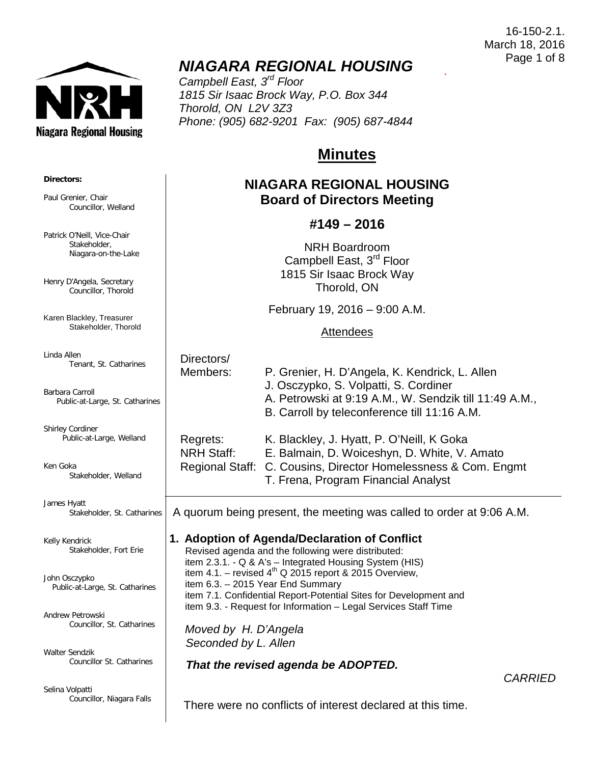16-150-2.1. March 18, 2016 Page 1 of 8

.



**Directors:**

Paul Grenier, Chair

Patrick O'Neill, Vice-Chair Stakeholder, Niagara-on-the-Lake

Henry D'Angela, Secretary Councillor, Thorold

Karen Blackley, Treasurer Stakeholder, Thorold

Councillor, Welland

# *NIAGARA REGIONAL HOUSING*

*Campbell East, 3rd Floor 1815 Sir Isaac Brock Way, P.O. Box 344 Thorold, ON L2V 3Z3 Phone: (905) 682-9201 Fax: (905) 687-4844*

# **Minutes**

## **NIAGARA REGIONAL HOUSING Board of Directors Meeting**

### **#149 – 2016**

NRH Boardroom Campbell East, 3rd Floor 1815 Sir Isaac Brock Way Thorold, ON

February 19, 2016 – 9:00 A.M.

#### **Attendees**

Linda Allen Tenant, St. Catharines

Barbara Carroll Public-at-Large, St. Catharines

Shirley Cordiner Public-at-Large, Welland

Ken Goka Stakeholder, Welland

James Hyatt Stakeholder, St. Catharines

Kelly Kendrick Stakeholder, Fort Erie

John Osczypko Public-at-Large, St. Catharines

Andrew Petrowski Councillor, St. Catharines

Walter Sendzik Councillor St. Catharines

Selina Volpatti Councillor, Niagara Falls Directors/ Members: P. Grenier, H. D'Angela, K. Kendrick, L. Allen

J. Osczypko, S. Volpatti, S. Cordiner

A. Petrowski at 9:19 A.M., W. Sendzik till 11:49 A.M.,

B. Carroll by teleconference till 11:16 A.M.

| Regrets:          | K. Blackley, J. Hyatt, P. O'Neill, K Goka                      |
|-------------------|----------------------------------------------------------------|
| <b>NRH Staff:</b> | E. Balmain, D. Woiceshyn, D. White, V. Amato                   |
|                   | Regional Staff: C. Cousins, Director Homelessness & Com. Engmt |
|                   | T. Frena, Program Financial Analyst                            |
|                   |                                                                |

A quorum being present, the meeting was called to order at 9:06 A.M.

### **1. Adoption of Agenda/Declaration of Conflict**

 Revised agenda and the following were distributed: item 2.3.1. - Q & A's – Integrated Housing System (HIS) item 4.1. – revised  $4^{th}$  Q 2015 report & 2015 Overview, item 6.3. – 2015 Year End Summary item 7.1. Confidential Report-Potential Sites for Development and item 9.3. - Request for Information – Legal Services Staff Time

 *Moved by H. D'Angela Seconded by L. Allen*

*That the revised agenda be ADOPTED.*

There were no conflicts of interest declared at this time.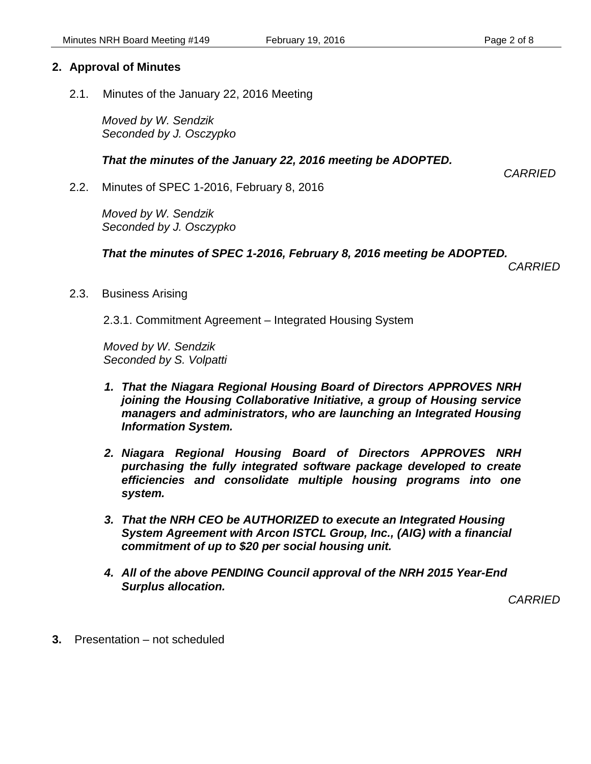2.1. Minutes of the January 22, 2016 Meeting

*Moved by W. Sendzik Seconded by J. Osczypko*

 *That the minutes of the January 22, 2016 meeting be ADOPTED.* 

*CARRIED*

2.2. Minutes of SPEC 1-2016, February 8, 2016

*Moved by W. Sendzik Seconded by J. Osczypko*

 *That the minutes of SPEC 1-2016, February 8, 2016 meeting be ADOPTED.* 

*CARRIED*

2.3. Business Arising

2.3.1. Commitment Agreement – Integrated Housing System

*Moved by W. Sendzik Seconded by S. Volpatti*

- *1. That the Niagara Regional Housing Board of Directors APPROVES NRH joining the Housing Collaborative Initiative, a group of Housing service managers and administrators, who are launching an Integrated Housing Information System.*
- *2. Niagara Regional Housing Board of Directors APPROVES NRH purchasing the fully integrated software package developed to create efficiencies and consolidate multiple housing programs into one system.*
- *3. That the NRH CEO be AUTHORIZED to execute an Integrated Housing System Agreement with Arcon ISTCL Group, Inc., (AIG) with a financial commitment of up to \$20 per social housing unit.*
- *4. All of the above PENDING Council approval of the NRH 2015 Year-End Surplus allocation.*

*CARRIED*

**3.** Presentation – not scheduled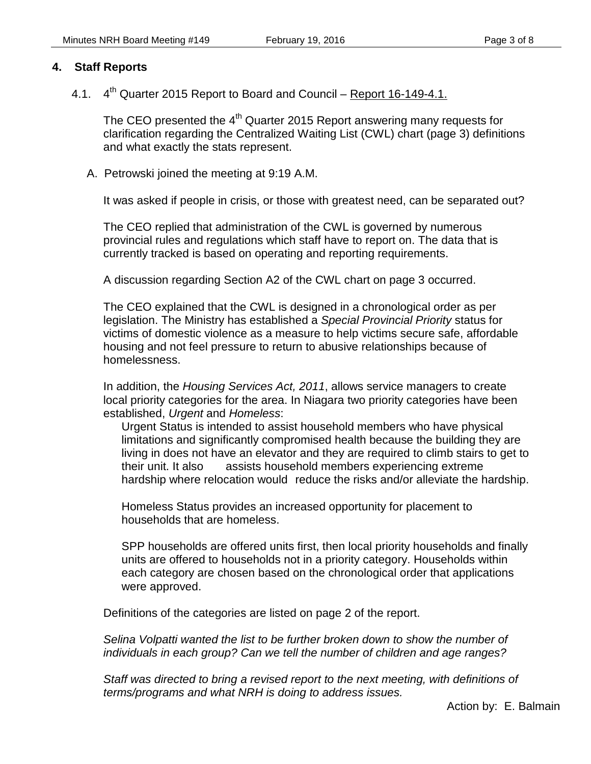#### **4. Staff Reports**

4.1. 4<sup>th</sup> Quarter 2015 Report to Board and Council – Report 16-149-4.1.

The CEO presented the 4<sup>th</sup> Quarter 2015 Report answering many requests for clarification regarding the Centralized Waiting List (CWL) chart (page 3) definitions and what exactly the stats represent.

A. Petrowski joined the meeting at 9:19 A.M.

It was asked if people in crisis, or those with greatest need, can be separated out?

The CEO replied that administration of the CWL is governed by numerous provincial rules and regulations which staff have to report on. The data that is currently tracked is based on operating and reporting requirements.

A discussion regarding Section A2 of the CWL chart on page 3 occurred.

The CEO explained that the CWL is designed in a chronological order as per legislation. The Ministry has established a *Special Provincial Priority* status for victims of domestic violence as a measure to help victims secure safe, affordable housing and not feel pressure to return to abusive relationships because of homelessness.

In addition, the *Housing Services Act, 2011*, allows service managers to create local priority categories for the area. In Niagara two priority categories have been established, *Urgent* and *Homeless*:

Urgent Status is intended to assist household members who have physical limitations and significantly compromised health because the building they are living in does not have an elevator and they are required to climb stairs to get to their unit. It also assists household members experiencing extreme hardship where relocation would reduce the risks and/or alleviate the hardship.

Homeless Status provides an increased opportunity for placement to households that are homeless.

SPP households are offered units first, then local priority households and finally units are offered to households not in a priority category. Households within each category are chosen based on the chronological order that applications were approved.

Definitions of the categories are listed on page 2 of the report.

*Selina Volpatti wanted the list to be further broken down to show the number of individuals in each group? Can we tell the number of children and age ranges?*

*Staff was directed to bring a revised report to the next meeting, with definitions of terms/programs and what NRH is doing to address issues.*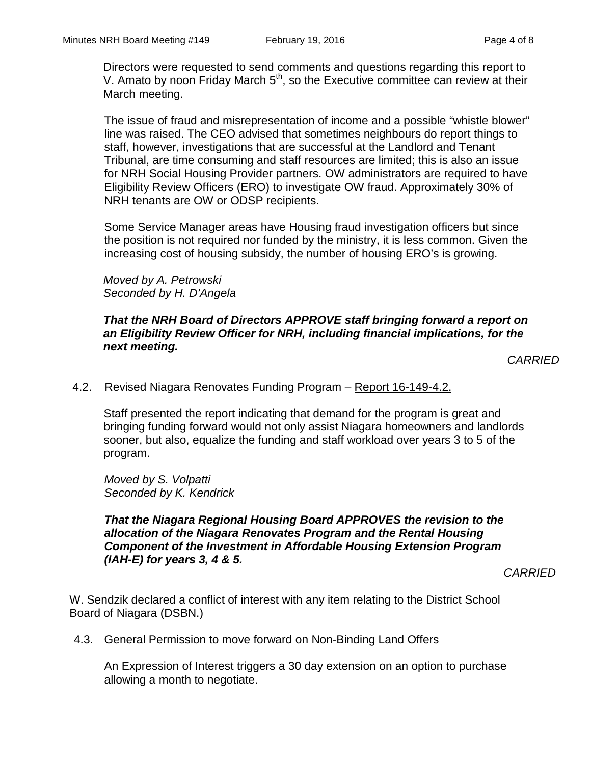Directors were requested to send comments and questions regarding this report to V. Amato by noon Friday March  $5<sup>th</sup>$ , so the Executive committee can review at their March meeting.

The issue of fraud and misrepresentation of income and a possible "whistle blower" line was raised. The CEO advised that sometimes neighbours do report things to staff, however, investigations that are successful at the Landlord and Tenant Tribunal, are time consuming and staff resources are limited; this is also an issue for NRH Social Housing Provider partners. OW administrators are required to have Eligibility Review Officers (ERO) to investigate OW fraud. Approximately 30% of NRH tenants are OW or ODSP recipients.

Some Service Manager areas have Housing fraud investigation officers but since the position is not required nor funded by the ministry, it is less common. Given the increasing cost of housing subsidy, the number of housing ERO's is growing.

*Moved by A. Petrowski Seconded by H. D'Angela*

#### *That the NRH Board of Directors APPROVE staff bringing forward a report on an Eligibility Review Officer for NRH, including financial implications, for the next meeting.*

*CARRIED*

4.2. Revised Niagara Renovates Funding Program – Report 16-149-4.2.

Staff presented the report indicating that demand for the program is great and bringing funding forward would not only assist Niagara homeowners and landlords sooner, but also, equalize the funding and staff workload over years 3 to 5 of the program.

*Moved by S. Volpatti Seconded by K. Kendrick*

*That the Niagara Regional Housing Board APPROVES the revision to the allocation of the Niagara Renovates Program and the Rental Housing Component of the Investment in Affordable Housing Extension Program (IAH-E) for years 3, 4 & 5.*

*CARRIED*

W. Sendzik declared a conflict of interest with any item relating to the District School Board of Niagara (DSBN.)

4.3. General Permission to move forward on Non-Binding Land Offers

An Expression of Interest triggers a 30 day extension on an option to purchase allowing a month to negotiate.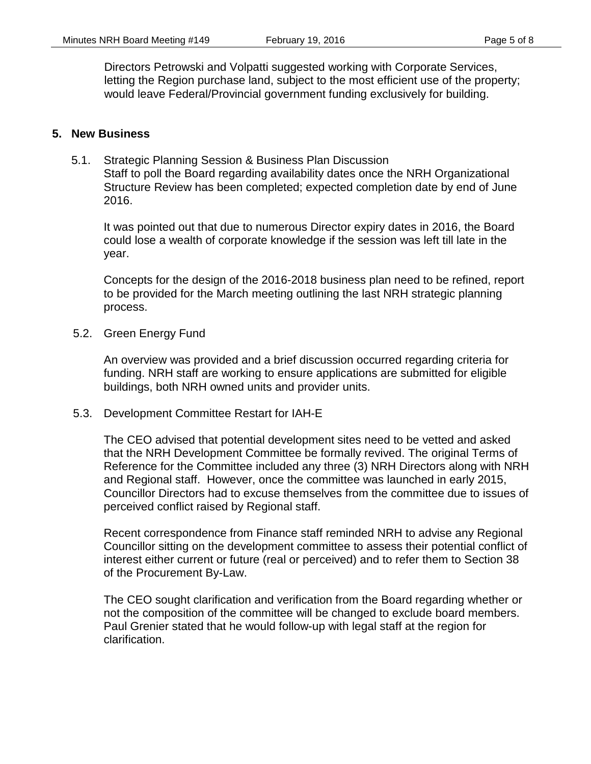Directors Petrowski and Volpatti suggested working with Corporate Services, letting the Region purchase land, subject to the most efficient use of the property; would leave Federal/Provincial government funding exclusively for building.

#### **5. New Business**

5.1. Strategic Planning Session & Business Plan Discussion Staff to poll the Board regarding availability dates once the NRH Organizational Structure Review has been completed; expected completion date by end of June 2016.

It was pointed out that due to numerous Director expiry dates in 2016, the Board could lose a wealth of corporate knowledge if the session was left till late in the year.

Concepts for the design of the 2016-2018 business plan need to be refined, report to be provided for the March meeting outlining the last NRH strategic planning process.

5.2. Green Energy Fund

An overview was provided and a brief discussion occurred regarding criteria for funding. NRH staff are working to ensure applications are submitted for eligible buildings, both NRH owned units and provider units.

5.3. Development Committee Restart for IAH-E

The CEO advised that potential development sites need to be vetted and asked that the NRH Development Committee be formally revived. The original Terms of Reference for the Committee included any three (3) NRH Directors along with NRH and Regional staff. However, once the committee was launched in early 2015, Councillor Directors had to excuse themselves from the committee due to issues of perceived conflict raised by Regional staff.

Recent correspondence from Finance staff reminded NRH to advise any Regional Councillor sitting on the development committee to assess their potential conflict of interest either current or future (real or perceived) and to refer them to Section 38 of the Procurement By-Law.

The CEO sought clarification and verification from the Board regarding whether or not the composition of the committee will be changed to exclude board members. Paul Grenier stated that he would follow-up with legal staff at the region for clarification.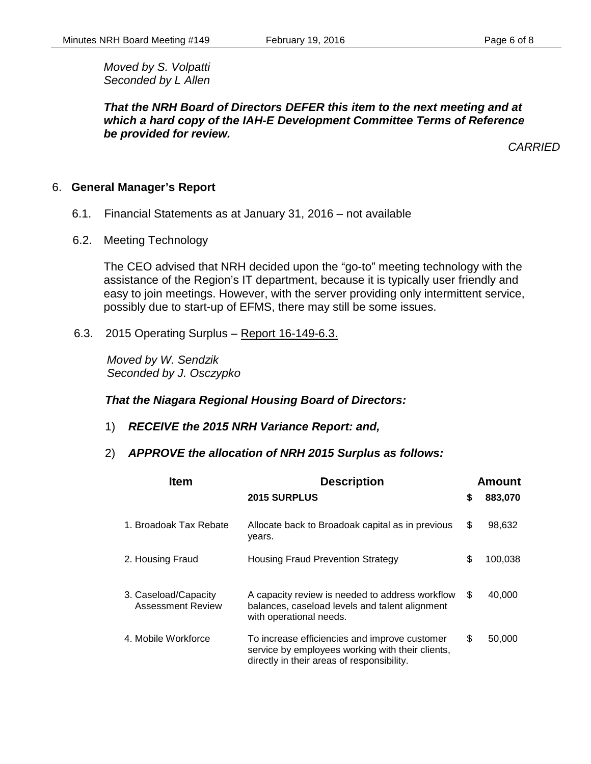*Moved by S. Volpatti Seconded by L Allen*

*That the NRH Board of Directors DEFER this item to the next meeting and at which a hard copy of the IAH-E Development Committee Terms of Reference be provided for review.*

*CARRIED*

#### 6. **General Manager's Report**

- 6.1. Financial Statements as at January 31, 2016 not available
- 6.2. Meeting Technology

The CEO advised that NRH decided upon the "go-to" meeting technology with the assistance of the Region's IT department, because it is typically user friendly and easy to join meetings. However, with the server providing only intermittent service, possibly due to start-up of EFMS, there may still be some issues.

6.3. 2015 Operating Surplus – Report 16-149-6.3.

 *Moved by W. Sendzik Seconded by J. Osczypko*

#### *That the Niagara Regional Housing Board of Directors:*

- 1) *RECEIVE the 2015 NRH Variance Report: and,*
- 2) *APPROVE the allocation of NRH 2015 Surplus as follows:*

| <b>Item</b>                                      | <b>Description</b>                                                                                                                              | Amount        |
|--------------------------------------------------|-------------------------------------------------------------------------------------------------------------------------------------------------|---------------|
|                                                  | <b>2015 SURPLUS</b>                                                                                                                             | \$<br>883,070 |
| 1. Broadoak Tax Rebate                           | Allocate back to Broadoak capital as in previous<br>years.                                                                                      | \$<br>98,632  |
| 2. Housing Fraud                                 | <b>Housing Fraud Prevention Strategy</b>                                                                                                        | \$<br>100,038 |
| 3. Caseload/Capacity<br><b>Assessment Review</b> | A capacity review is needed to address workflow<br>balances, caseload levels and talent alignment<br>with operational needs.                    | \$<br>40,000  |
| 4. Mobile Workforce                              | To increase efficiencies and improve customer<br>service by employees working with their clients,<br>directly in their areas of responsibility. | \$<br>50,000  |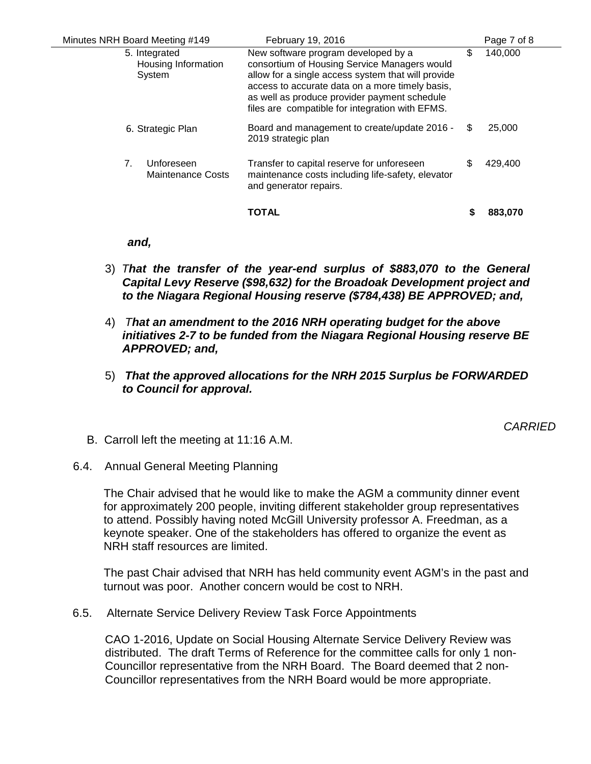| Minutes NRH Board Meeting #149                 | February 19, 2016                                                                                                                                                                                                                                                                               |    | Page 7 of 8 |  |
|------------------------------------------------|-------------------------------------------------------------------------------------------------------------------------------------------------------------------------------------------------------------------------------------------------------------------------------------------------|----|-------------|--|
| 5. Integrated<br>Housing Information<br>System | New software program developed by a<br>consortium of Housing Service Managers would<br>allow for a single access system that will provide<br>access to accurate data on a more timely basis,<br>as well as produce provider payment schedule<br>files are compatible for integration with EFMS. | \$ | 140,000     |  |
| 6. Strategic Plan                              | Board and management to create/update 2016 -<br>2019 strategic plan                                                                                                                                                                                                                             | S. | 25,000      |  |
| Unforeseen<br>7.<br>Maintenance Costs          | Transfer to capital reserve for unforeseen<br>maintenance costs including life-safety, elevator<br>and generator repairs.                                                                                                                                                                       | S  | 429,400     |  |
|                                                | <b>TOTAL</b>                                                                                                                                                                                                                                                                                    |    | 883,070     |  |

#### *and,*

- 3) *That the transfer of the year-end surplus of \$883,070 to the General Capital Levy Reserve (\$98,632) for the Broadoak Development project and to the Niagara Regional Housing reserve (\$784,438) BE APPROVED; and,*
- 4) *That an amendment to the 2016 NRH operating budget for the above initiatives 2-7 to be funded from the Niagara Regional Housing reserve BE APPROVED; and,*
- 5) *That the approved allocations for the NRH 2015 Surplus be FORWARDED to Council for approval.*

*CARRIED*

- B. Carroll left the meeting at 11:16 A.M.
- 6.4. Annual General Meeting Planning

The Chair advised that he would like to make the AGM a community dinner event for approximately 200 people, inviting different stakeholder group representatives to attend. Possibly having noted McGill University professor A. Freedman, as a keynote speaker. One of the stakeholders has offered to organize the event as NRH staff resources are limited.

The past Chair advised that NRH has held community event AGM's in the past and turnout was poor. Another concern would be cost to NRH.

6.5. Alternate Service Delivery Review Task Force Appointments

CAO 1-2016, Update on Social Housing Alternate Service Delivery Review was distributed. The draft Terms of Reference for the committee calls for only 1 non-Councillor representative from the NRH Board. The Board deemed that 2 non-Councillor representatives from the NRH Board would be more appropriate.